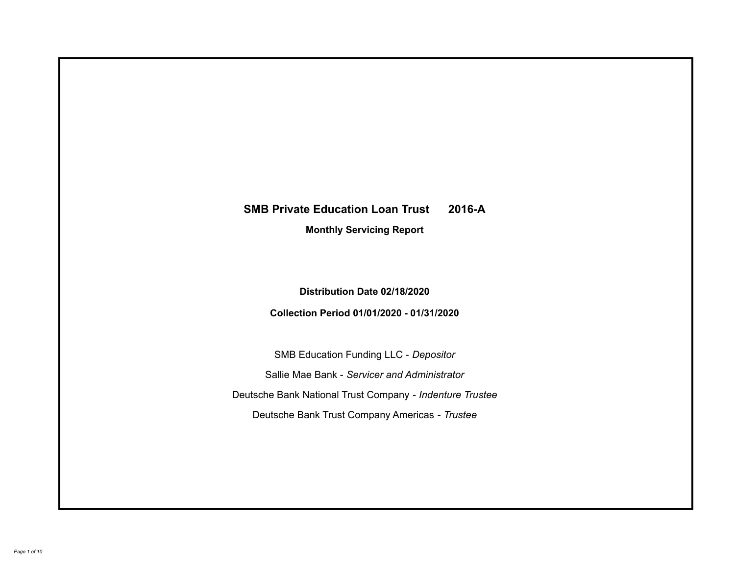# **SMB Private Education Loan Trust 2016-A Monthly Servicing Report**

## **Distribution Date 02/18/2020**

## **Collection Period 01/01/2020 - 01/31/2020**

SMB Education Funding LLC - *Depositor* Sallie Mae Bank - *Servicer and Administrator* Deutsche Bank National Trust Company - *Indenture Trustee* Deutsche Bank Trust Company Americas - *Trustee*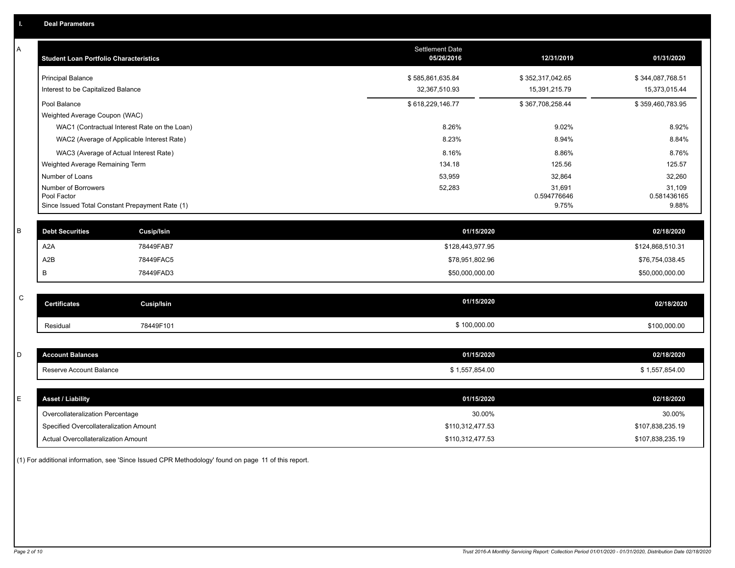| Α           | <b>Student Loan Portfolio Characteristics</b>                  | <b>Settlement Date</b><br>05/26/2016 | 12/31/2019           | 01/31/2020           |
|-------------|----------------------------------------------------------------|--------------------------------------|----------------------|----------------------|
|             | <b>Principal Balance</b>                                       | \$585,861,635.84                     | \$352,317,042.65     | \$344,087,768.51     |
|             | Interest to be Capitalized Balance                             | 32,367,510.93                        | 15,391,215.79        | 15,373,015.44        |
|             | Pool Balance                                                   | \$618,229,146.77                     | \$367,708,258.44     | \$359,460,783.95     |
|             | Weighted Average Coupon (WAC)                                  |                                      |                      |                      |
|             | WAC1 (Contractual Interest Rate on the Loan)                   | 8.26%                                | 9.02%                | 8.92%                |
|             | WAC2 (Average of Applicable Interest Rate)                     | 8.23%                                | 8.94%                | 8.84%                |
|             | WAC3 (Average of Actual Interest Rate)                         | 8.16%                                | 8.86%                | 8.76%                |
|             | Weighted Average Remaining Term                                | 134.18                               | 125.56               | 125.57               |
|             | Number of Loans                                                | 53,959                               | 32,864               | 32,260               |
|             | Number of Borrowers                                            | 52,283                               | 31,691               | 31,109               |
|             | Pool Factor<br>Since Issued Total Constant Prepayment Rate (1) |                                      | 0.594776646<br>9.75% | 0.581436165<br>9.88% |
|             |                                                                |                                      |                      |                      |
| B           | <b>Debt Securities</b><br><b>Cusip/Isin</b>                    | 01/15/2020                           |                      | 02/18/2020           |
|             | A <sub>2</sub> A<br>78449FAB7                                  | \$128,443,977.95                     |                      | \$124,868,510.31     |
|             | A2B<br>78449FAC5                                               | \$78,951,802.96                      |                      | \$76,754,038.45      |
|             | 78449FAD3<br>В                                                 | \$50,000,000.00                      |                      | \$50,000,000.00      |
|             |                                                                |                                      |                      |                      |
| $\mathsf C$ | <b>Certificates</b><br><b>Cusip/Isin</b>                       | 01/15/2020                           |                      | 02/18/2020           |
|             | 78449F101<br>Residual                                          | \$100,000.00                         |                      | \$100,000.00         |
|             |                                                                |                                      |                      |                      |
| D           | <b>Account Balances</b>                                        | 01/15/2020                           |                      | 02/18/2020           |
|             | Reserve Account Balance                                        | \$1,557,854.00                       |                      | \$1,557,854.00       |
|             |                                                                |                                      |                      |                      |
| E           | <b>Asset / Liability</b>                                       | 01/15/2020                           |                      | 02/18/2020           |
|             | Overcollateralization Percentage                               | 30.00%                               |                      | 30.00%               |
|             | Specified Overcollateralization Amount                         | \$110,312,477.53                     |                      | \$107,838,235.19     |
|             | Actual Overcollateralization Amount                            | \$110,312,477.53                     |                      | \$107,838,235.19     |

(1) For additional information, see 'Since Issued CPR Methodology' found on page 11 of this report.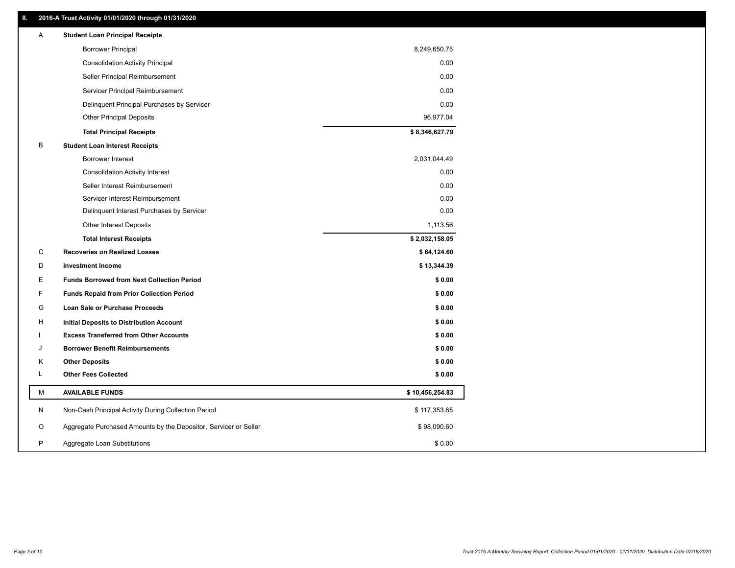## **II. 2016-A Trust Activity 01/01/2020 through 01/31/2020**

| Α | <b>Student Loan Principal Receipts</b>                           |                 |  |
|---|------------------------------------------------------------------|-----------------|--|
|   | <b>Borrower Principal</b>                                        | 8,249,650.75    |  |
|   | <b>Consolidation Activity Principal</b>                          | 0.00            |  |
|   | Seller Principal Reimbursement                                   | 0.00            |  |
|   | Servicer Principal Reimbursement                                 | 0.00            |  |
|   | Delinquent Principal Purchases by Servicer                       | 0.00            |  |
|   | <b>Other Principal Deposits</b>                                  | 96,977.04       |  |
|   | <b>Total Principal Receipts</b>                                  | \$8,346,627.79  |  |
| B | <b>Student Loan Interest Receipts</b>                            |                 |  |
|   | <b>Borrower Interest</b>                                         | 2,031,044.49    |  |
|   | <b>Consolidation Activity Interest</b>                           | 0.00            |  |
|   | Seller Interest Reimbursement                                    | 0.00            |  |
|   | Servicer Interest Reimbursement                                  | 0.00            |  |
|   | Delinquent Interest Purchases by Servicer                        | 0.00            |  |
|   | Other Interest Deposits                                          | 1,113.56        |  |
|   | <b>Total Interest Receipts</b>                                   | \$2,032,158.05  |  |
| С | <b>Recoveries on Realized Losses</b>                             | \$64,124.60     |  |
| D | <b>Investment Income</b>                                         | \$13,344.39     |  |
| Ε | <b>Funds Borrowed from Next Collection Period</b>                | \$0.00          |  |
| F | <b>Funds Repaid from Prior Collection Period</b>                 | \$0.00          |  |
| G | <b>Loan Sale or Purchase Proceeds</b>                            | \$0.00          |  |
| н | Initial Deposits to Distribution Account                         | \$0.00          |  |
|   | <b>Excess Transferred from Other Accounts</b>                    | \$0.00          |  |
| J | <b>Borrower Benefit Reimbursements</b>                           | \$0.00          |  |
| Κ | <b>Other Deposits</b>                                            | \$0.00          |  |
| L | <b>Other Fees Collected</b>                                      | \$0.00          |  |
| М | <b>AVAILABLE FUNDS</b>                                           | \$10,456,254.83 |  |
| N | Non-Cash Principal Activity During Collection Period             | \$117,353.65    |  |
| O | Aggregate Purchased Amounts by the Depositor, Servicer or Seller | \$98,090.60     |  |
| P | Aggregate Loan Substitutions                                     | \$0.00          |  |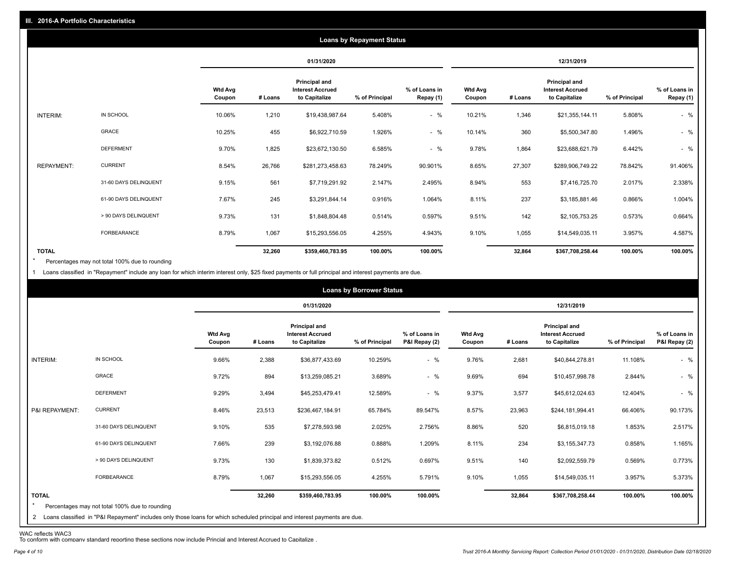|                   |                       |                   |            |                                                                  | <b>Loans by Repayment Status</b> |                            |                          |         |                                                           |                |                            |
|-------------------|-----------------------|-------------------|------------|------------------------------------------------------------------|----------------------------------|----------------------------|--------------------------|---------|-----------------------------------------------------------|----------------|----------------------------|
|                   |                       |                   | 01/31/2020 |                                                                  |                                  |                            | 12/31/2019               |         |                                                           |                |                            |
|                   |                       | Wtd Avg<br>Coupon | # Loans    | <b>Principal and</b><br><b>Interest Accrued</b><br>to Capitalize | % of Principal                   | % of Loans in<br>Repay (1) | <b>Wtd Avg</b><br>Coupon | # Loans | Principal and<br><b>Interest Accrued</b><br>to Capitalize | % of Principal | % of Loans in<br>Repay (1) |
| INTERIM:          | IN SCHOOL             | 10.06%            | 1,210      | \$19,438,987.64                                                  | 5.408%                           | $-$ %                      | 10.21%                   | 1,346   | \$21,355,144.11                                           | 5.808%         | $-$ %                      |
|                   | GRACE                 | 10.25%            | 455        | \$6,922,710.59                                                   | 1.926%                           | $-$ %                      | 10.14%                   | 360     | \$5,500,347.80                                            | 1.496%         | $-$ %                      |
|                   | <b>DEFERMENT</b>      | 9.70%             | 1,825      | \$23,672,130.50                                                  | 6.585%                           | $-$ %                      | 9.78%                    | 1,864   | \$23,688,621.79                                           | 6.442%         | $-$ %                      |
| <b>REPAYMENT:</b> | <b>CURRENT</b>        | 8.54%             | 26,766     | \$281,273,458.63                                                 | 78.249%                          | 90.901%                    | 8.65%                    | 27,307  | \$289,906,749.22                                          | 78.842%        | 91.406%                    |
|                   | 31-60 DAYS DELINQUENT | 9.15%             | 561        | \$7,719,291.92                                                   | 2.147%                           | 2.495%                     | 8.94%                    | 553     | \$7,416,725.70                                            | 2.017%         | 2.338%                     |
|                   | 61-90 DAYS DELINQUENT | 7.67%             | 245        | \$3,291,844.14                                                   | 0.916%                           | 1.064%                     | 8.11%                    | 237     | \$3,185,881.46                                            | 0.866%         | 1.004%                     |
|                   | > 90 DAYS DELINQUENT  | 9.73%             | 131        | \$1,848,804.48                                                   | 0.514%                           | 0.597%                     | 9.51%                    | 142     | \$2,105,753.25                                            | 0.573%         | 0.664%                     |
|                   | FORBEARANCE           | 8.79%             | 1,067      | \$15,293,556.05                                                  | 4.255%                           | 4.943%                     | 9.10%                    | 1,055   | \$14,549,035.11                                           | 3.957%         | 4.587%                     |
| <b>TOTAL</b>      |                       |                   | 32,260     | \$359,460,783.95                                                 | 100.00%                          | 100.00%                    |                          | 32,864  | \$367,708,258.44                                          | 100.00%        | 100.00%                    |

Percentages may not total 100% due to rounding \*

1 Loans classified in "Repayment" include any loan for which interim interest only, \$25 fixed payments or full principal and interest payments are due.

|                         | <b>Loans by Borrower Status</b>                                                                                                                                                |                          |         |                                                           |                |                                |                          |         |                                                                  |                |                                |
|-------------------------|--------------------------------------------------------------------------------------------------------------------------------------------------------------------------------|--------------------------|---------|-----------------------------------------------------------|----------------|--------------------------------|--------------------------|---------|------------------------------------------------------------------|----------------|--------------------------------|
|                         |                                                                                                                                                                                |                          |         | 01/31/2020                                                |                |                                | 12/31/2019               |         |                                                                  |                |                                |
|                         |                                                                                                                                                                                | <b>Wtd Avg</b><br>Coupon | # Loans | Principal and<br><b>Interest Accrued</b><br>to Capitalize | % of Principal | % of Loans in<br>P&I Repay (2) | <b>Wtd Avg</b><br>Coupon | # Loans | <b>Principal and</b><br><b>Interest Accrued</b><br>to Capitalize | % of Principal | % of Loans in<br>P&I Repay (2) |
| INTERIM:                | IN SCHOOL                                                                                                                                                                      | 9.66%                    | 2,388   | \$36,877,433.69                                           | 10.259%        | $-$ %                          | 9.76%                    | 2,681   | \$40,844,278.81                                                  | 11.108%        | $-$ %                          |
|                         | GRACE                                                                                                                                                                          | 9.72%                    | 894     | \$13,259,085.21                                           | 3.689%         | $-$ %                          | 9.69%                    | 694     | \$10,457,998.78                                                  | 2.844%         | $-$ %                          |
|                         | <b>DEFERMENT</b>                                                                                                                                                               | 9.29%                    | 3,494   | \$45,253,479.41                                           | 12.589%        | $-$ %                          | 9.37%                    | 3,577   | \$45,612,024.63                                                  | 12.404%        | $-$ %                          |
| P&I REPAYMENT:          | <b>CURRENT</b>                                                                                                                                                                 | 8.46%                    | 23,513  | \$236,467,184.91                                          | 65.784%        | 89.547%                        | 8.57%                    | 23,963  | \$244,181,994.41                                                 | 66.406%        | 90.173%                        |
|                         | 31-60 DAYS DELINQUENT                                                                                                                                                          | 9.10%                    | 535     | \$7,278,593.98                                            | 2.025%         | 2.756%                         | 8.86%                    | 520     | \$6,815,019.18                                                   | 1.853%         | 2.517%                         |
|                         | 61-90 DAYS DELINQUENT                                                                                                                                                          | 7.66%                    | 239     | \$3,192,076.88                                            | 0.888%         | 1.209%                         | 8.11%                    | 234     | \$3,155,347.73                                                   | 0.858%         | 1.165%                         |
|                         | > 90 DAYS DELINQUENT                                                                                                                                                           | 9.73%                    | 130     | \$1,839,373.82                                            | 0.512%         | 0.697%                         | 9.51%                    | 140     | \$2,092,559.79                                                   | 0.569%         | 0.773%                         |
|                         | FORBEARANCE                                                                                                                                                                    | 8.79%                    | 1,067   | \$15,293,556.05                                           | 4.255%         | 5.791%                         | 9.10%                    | 1,055   | \$14,549,035.11                                                  | 3.957%         | 5.373%                         |
| <b>TOTAL</b><br>$\star$ | Percentages may not total 100% due to rounding<br>2 Loans classified in "P&I Repayment" includes only those loans for which scheduled principal and interest payments are due. |                          | 32,260  | \$359,460,783.95                                          | 100.00%        | 100.00%                        |                          | 32,864  | \$367,708,258.44                                                 | 100.00%        | 100.00%                        |

WAC reflects WAC3 To conform with company standard reporting these sections now include Princial and Interest Accrued to Capitalize .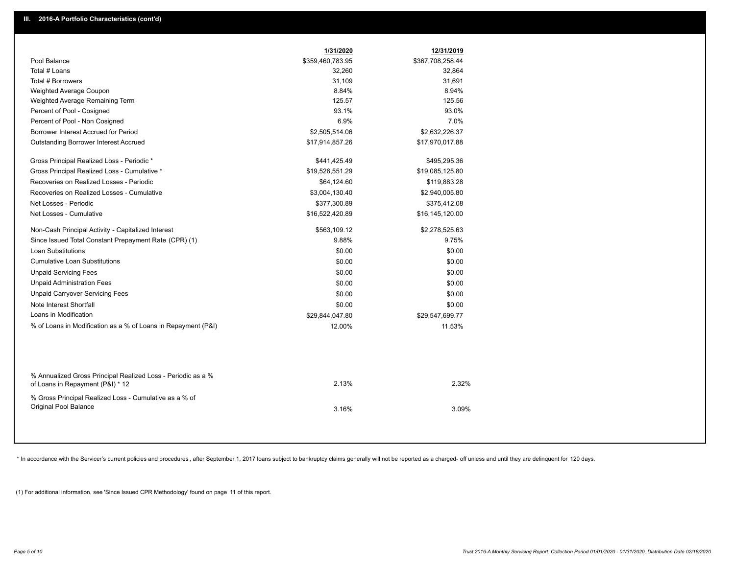|                                                                                                  | 1/31/2020        | 12/31/2019       |  |
|--------------------------------------------------------------------------------------------------|------------------|------------------|--|
| Pool Balance                                                                                     | \$359,460,783.95 | \$367,708,258.44 |  |
| Total # Loans                                                                                    | 32,260           | 32,864           |  |
| Total # Borrowers                                                                                | 31,109           | 31,691           |  |
| Weighted Average Coupon                                                                          | 8.84%            | 8.94%            |  |
| Weighted Average Remaining Term                                                                  | 125.57           | 125.56           |  |
| Percent of Pool - Cosigned                                                                       | 93.1%            | 93.0%            |  |
| Percent of Pool - Non Cosigned                                                                   | 6.9%             | 7.0%             |  |
| Borrower Interest Accrued for Period                                                             | \$2,505,514.06   | \$2,632,226.37   |  |
| <b>Outstanding Borrower Interest Accrued</b>                                                     | \$17,914,857.26  | \$17,970,017.88  |  |
| Gross Principal Realized Loss - Periodic *                                                       | \$441,425.49     | \$495,295.36     |  |
| Gross Principal Realized Loss - Cumulative *                                                     | \$19,526,551.29  | \$19,085,125.80  |  |
| Recoveries on Realized Losses - Periodic                                                         | \$64,124.60      | \$119,883.28     |  |
| Recoveries on Realized Losses - Cumulative                                                       | \$3,004,130.40   | \$2,940,005.80   |  |
| Net Losses - Periodic                                                                            | \$377,300.89     | \$375,412.08     |  |
| Net Losses - Cumulative                                                                          | \$16,522,420.89  | \$16,145,120.00  |  |
| Non-Cash Principal Activity - Capitalized Interest                                               | \$563,109.12     | \$2,278,525.63   |  |
| Since Issued Total Constant Prepayment Rate (CPR) (1)                                            | 9.88%            | 9.75%            |  |
| <b>Loan Substitutions</b>                                                                        | \$0.00           | \$0.00           |  |
| <b>Cumulative Loan Substitutions</b>                                                             | \$0.00           | \$0.00           |  |
| <b>Unpaid Servicing Fees</b>                                                                     | \$0.00           | \$0.00           |  |
| <b>Unpaid Administration Fees</b>                                                                | \$0.00           | \$0.00           |  |
| <b>Unpaid Carryover Servicing Fees</b>                                                           | \$0.00           | \$0.00           |  |
| Note Interest Shortfall                                                                          | \$0.00           | \$0.00           |  |
| Loans in Modification                                                                            | \$29,844,047.80  | \$29,547,699.77  |  |
| % of Loans in Modification as a % of Loans in Repayment (P&I)                                    | 12.00%           | 11.53%           |  |
|                                                                                                  |                  |                  |  |
| % Annualized Gross Principal Realized Loss - Periodic as a %<br>of Loans in Repayment (P&I) * 12 | 2.13%            | 2.32%            |  |
|                                                                                                  |                  |                  |  |
| % Gross Principal Realized Loss - Cumulative as a % of<br>Original Pool Balance                  | 3.16%            | 3.09%            |  |
|                                                                                                  |                  |                  |  |
|                                                                                                  |                  |                  |  |

\* In accordance with the Servicer's current policies and procedures, after September 1, 2017 loans subject to bankruptcy claims generally will not be reported as a charged- off unless and until they are delinquent for 120

(1) For additional information, see 'Since Issued CPR Methodology' found on page 11 of this report.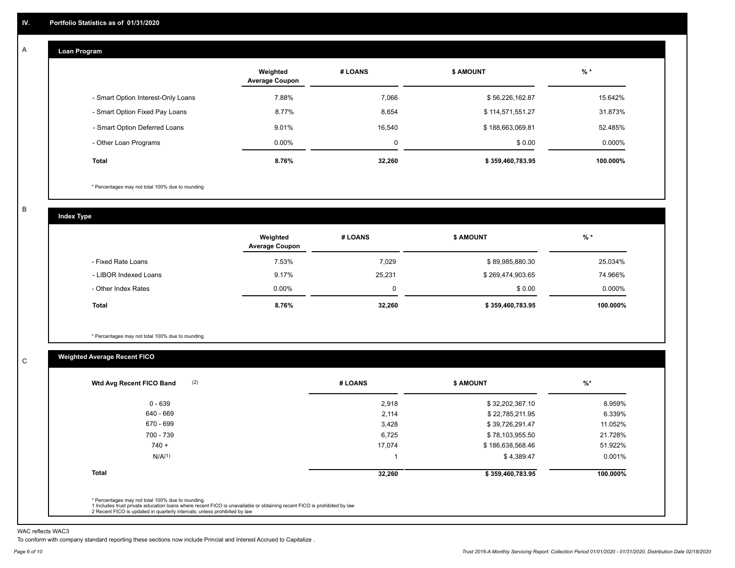#### **Loan Program**  A

|                                    | Weighted<br><b>Average Coupon</b> | # LOANS     | <b>\$ AMOUNT</b> | $%$ *    |
|------------------------------------|-----------------------------------|-------------|------------------|----------|
| - Smart Option Interest-Only Loans | 7.88%                             | 7,066       | \$56,226,162.87  | 15.642%  |
| - Smart Option Fixed Pay Loans     | 8.77%                             | 8,654       | \$114,571,551.27 | 31.873%  |
| - Smart Option Deferred Loans      | 9.01%                             | 16.540      | \$188,663,069.81 | 52.485%  |
| - Other Loan Programs              | $0.00\%$                          | $\mathbf 0$ | \$0.00           | 0.000%   |
| <b>Total</b>                       | 8.76%                             | 32,260      | \$359,460,783.95 | 100.000% |

\* Percentages may not total 100% due to rounding

B

C

**Index Type**

|                       | Weighted<br><b>Average Coupon</b> | # LOANS | <b>\$ AMOUNT</b> | $%$ *     |
|-----------------------|-----------------------------------|---------|------------------|-----------|
| - Fixed Rate Loans    | 7.53%                             | 7,029   | \$89,985,880.30  | 25.034%   |
| - LIBOR Indexed Loans | 9.17%                             | 25,231  | \$269,474,903.65 | 74.966%   |
| - Other Index Rates   | $0.00\%$                          | 0       | \$0.00           | $0.000\%$ |
| Total                 | 8.76%                             | 32,260  | \$359,460,783.95 | 100.000%  |

\* Percentages may not total 100% due to rounding

## **Weighted Average Recent FICO**

|                    | # LOANS | \$ AMOUNT        | $\frac{9}{6}$ * |
|--------------------|---------|------------------|-----------------|
| $0 - 639$          | 2,918   | \$32,202,367.10  | 8.959%          |
| 640 - 669          | 2,114   | \$22,785,211.95  | 6.339%          |
| 670 - 699          | 3,428   | \$39,726,291.47  | 11.052%         |
| 700 - 739          | 6,725   | \$78,103,955.50  | 21.728%         |
| $740 +$            | 17,074  | \$186,638,568.46 | 51.922%         |
| N/A <sup>(1)</sup> |         | \$4,389.47       | 0.001%          |
| <b>Total</b>       | 32,260  | \$359,460,783.95 | 100.000%        |

WAC reflects WAC3

To conform with company standard reporting these sections now include Princial and Interest Accrued to Capitalize .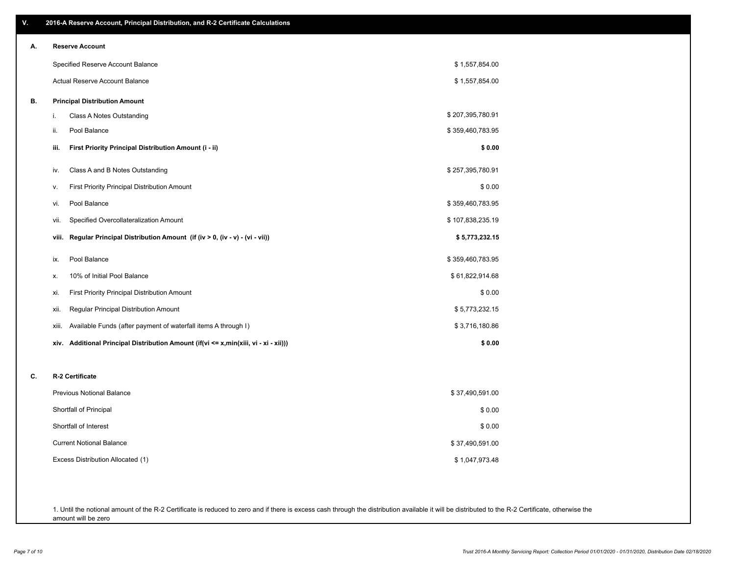| V. | 2016-A Reserve Account, Principal Distribution, and R-2 Certificate Calculations        |                  |
|----|-----------------------------------------------------------------------------------------|------------------|
| А. | <b>Reserve Account</b>                                                                  |                  |
|    | Specified Reserve Account Balance                                                       | \$1,557,854.00   |
|    | Actual Reserve Account Balance                                                          | \$1,557,854.00   |
| В. | <b>Principal Distribution Amount</b>                                                    |                  |
|    | Class A Notes Outstanding<br>i.                                                         | \$207,395,780.91 |
|    | Pool Balance<br>ii.                                                                     | \$359,460,783.95 |
|    | First Priority Principal Distribution Amount (i - ii)<br>iii.                           | \$0.00           |
|    | Class A and B Notes Outstanding<br>iv.                                                  | \$257,395,780.91 |
|    | First Priority Principal Distribution Amount<br>v.                                      | \$0.00           |
|    | Pool Balance<br>vi.                                                                     | \$359,460,783.95 |
|    | Specified Overcollateralization Amount<br>vii.                                          | \$107,838,235.19 |
|    | Regular Principal Distribution Amount (if (iv > 0, (iv - v) - (vi - vii))<br>viii.      | \$5,773,232.15   |
|    | Pool Balance<br>ix.                                                                     | \$359,460,783.95 |
|    | 10% of Initial Pool Balance<br>х.                                                       | \$61,822,914.68  |
|    | First Priority Principal Distribution Amount<br>xi.                                     | \$0.00           |
|    | Regular Principal Distribution Amount<br>xii.                                           | \$5,773,232.15   |
|    | Available Funds (after payment of waterfall items A through I)<br>xiii.                 | \$3,716,180.86   |
|    | Additional Principal Distribution Amount (if(vi <= x,min(xiii, vi - xi - xii)))<br>xiv. | \$0.00           |
| C. | R-2 Certificate                                                                         |                  |
|    | <b>Previous Notional Balance</b>                                                        | \$37,490,591.00  |
|    | Shortfall of Principal                                                                  | \$0.00           |
|    | Shortfall of Interest                                                                   | \$0.00           |
|    | <b>Current Notional Balance</b>                                                         | \$37,490,591.00  |
|    | Excess Distribution Allocated (1)                                                       | \$1,047,973.48   |
|    |                                                                                         |                  |
|    |                                                                                         |                  |

1. Until the notional amount of the R-2 Certificate is reduced to zero and if there is excess cash through the distribution available it will be distributed to the R-2 Certificate, otherwise the amount will be zero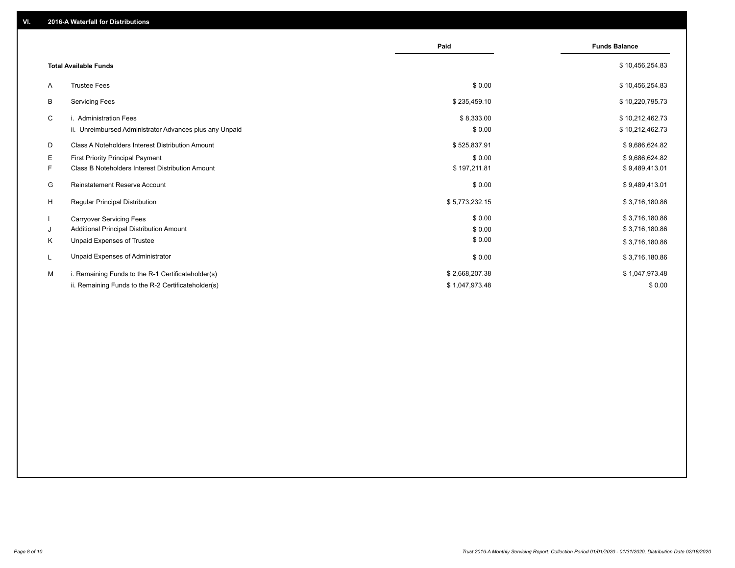|                                                               | Paid           | <b>Funds Balance</b> |
|---------------------------------------------------------------|----------------|----------------------|
| <b>Total Available Funds</b>                                  |                | \$10,456,254.83      |
| <b>Trustee Fees</b><br>A                                      | \$0.00         | \$10,456,254.83      |
| B<br><b>Servicing Fees</b>                                    | \$235,459.10   | \$10,220,795.73      |
| C<br>i. Administration Fees                                   | \$8,333.00     | \$10,212,462.73      |
| ii. Unreimbursed Administrator Advances plus any Unpaid       | \$0.00         | \$10,212,462.73      |
| D<br>Class A Noteholders Interest Distribution Amount         | \$525,837.91   | \$9,686,624.82       |
| E.<br><b>First Priority Principal Payment</b>                 | \$0.00         | \$9,686,624.82       |
| <b>Class B Noteholders Interest Distribution Amount</b><br>F. | \$197,211.81   | \$9,489,413.01       |
| G<br><b>Reinstatement Reserve Account</b>                     | \$0.00         | \$9,489,413.01       |
| H<br><b>Regular Principal Distribution</b>                    | \$5,773,232.15 | \$3,716,180.86       |
| -1<br><b>Carryover Servicing Fees</b>                         | \$0.00         | \$3,716,180.86       |
| Additional Principal Distribution Amount<br>J                 | \$0.00         | \$3,716,180.86       |
| Κ<br>Unpaid Expenses of Trustee                               | \$0.00         | \$3,716,180.86       |
| Unpaid Expenses of Administrator<br>L                         | \$0.00         | \$3,716,180.86       |
| М<br>i. Remaining Funds to the R-1 Certificateholder(s)       | \$2,668,207.38 | \$1,047,973.48       |
| ii. Remaining Funds to the R-2 Certificateholder(s)           | \$1,047,973.48 | \$0.00               |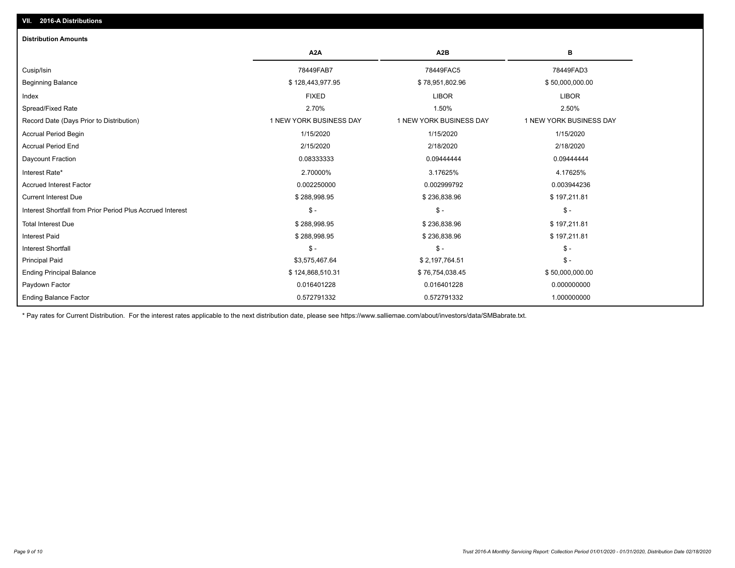| <b>Distribution Amounts</b>                                |                         |                         |                         |
|------------------------------------------------------------|-------------------------|-------------------------|-------------------------|
|                                                            | A <sub>2</sub> A        | A2B                     | в                       |
| Cusip/Isin                                                 | 78449FAB7               | 78449FAC5               | 78449FAD3               |
| <b>Beginning Balance</b>                                   | \$128,443,977.95        | \$78,951,802.96         | \$50,000,000.00         |
| Index                                                      | <b>FIXED</b>            | <b>LIBOR</b>            | <b>LIBOR</b>            |
| Spread/Fixed Rate                                          | 2.70%                   | 1.50%                   | 2.50%                   |
| Record Date (Days Prior to Distribution)                   | 1 NEW YORK BUSINESS DAY | 1 NEW YORK BUSINESS DAY | 1 NEW YORK BUSINESS DAY |
| <b>Accrual Period Begin</b>                                | 1/15/2020               | 1/15/2020               | 1/15/2020               |
| <b>Accrual Period End</b>                                  | 2/15/2020               | 2/18/2020               | 2/18/2020               |
| Daycount Fraction                                          | 0.08333333              | 0.09444444              | 0.09444444              |
| Interest Rate*                                             | 2.70000%                | 3.17625%                | 4.17625%                |
| <b>Accrued Interest Factor</b>                             | 0.002250000             | 0.002999792             | 0.003944236             |
| <b>Current Interest Due</b>                                | \$288,998.95            | \$236,838.96            | \$197,211.81            |
| Interest Shortfall from Prior Period Plus Accrued Interest | $\mathsf{\$}$ -         | $$ -$                   | $\mathsf{\$}$ -         |
| <b>Total Interest Due</b>                                  | \$288,998.95            | \$236,838.96            | \$197,211.81            |
| <b>Interest Paid</b>                                       | \$288,998.95            | \$236,838.96            | \$197,211.81            |
| Interest Shortfall                                         | $$ -$                   | $$ -$                   | $\mathcal{S}$ -         |
| <b>Principal Paid</b>                                      | \$3,575,467.64          | \$2,197,764.51          | $\mathsf{\$}$ -         |
| <b>Ending Principal Balance</b>                            | \$124,868,510.31        | \$76,754,038.45         | \$50,000,000.00         |
| Paydown Factor                                             | 0.016401228             | 0.016401228             | 0.000000000             |
| <b>Ending Balance Factor</b>                               | 0.572791332             | 0.572791332             | 1.000000000             |

\* Pay rates for Current Distribution. For the interest rates applicable to the next distribution date, please see https://www.salliemae.com/about/investors/data/SMBabrate.txt.

**VII. 2016-A Distributions**